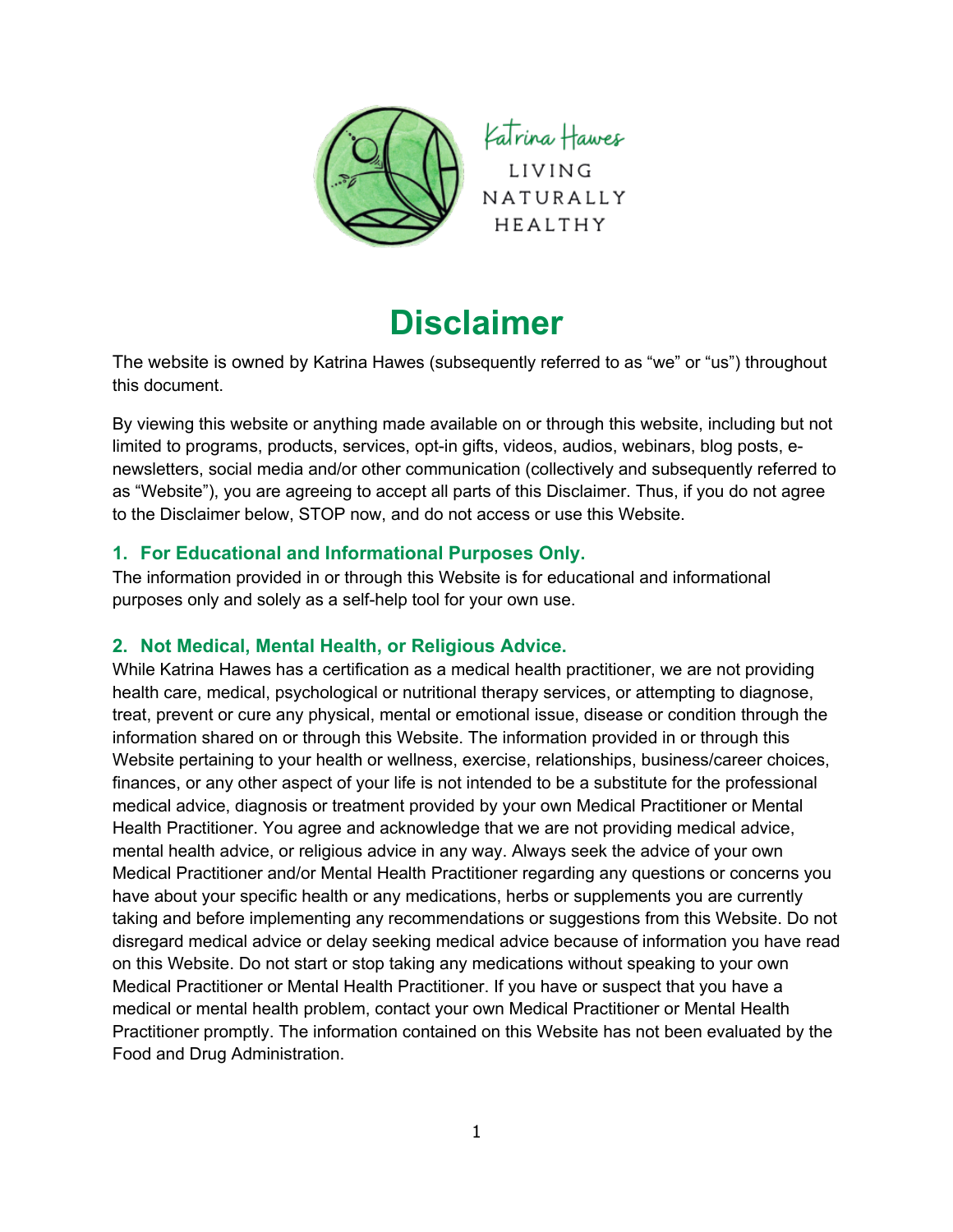

# **Disclaimer**

The website is owned by Katrina Hawes (subsequently referred to as "we" or "us") throughout this document.

By viewing this website or anything made available on or through this website, including but not limited to programs, products, services, opt-in gifts, videos, audios, webinars, blog posts, enewsletters, social media and/or other communication (collectively and subsequently referred to as "Website"), you are agreeing to accept all parts of this Disclaimer. Thus, if you do not agree to the Disclaimer below, STOP now, and do not access or use this Website.

# **1. For Educational and Informational Purposes Only.**

The information provided in or through this Website is for educational and informational purposes only and solely as a self-help tool for your own use.

# **2. Not Medical, Mental Health, or Religious Advice.**

While Katrina Hawes has a certification as a medical health practitioner, we are not providing health care, medical, psychological or nutritional therapy services, or attempting to diagnose, treat, prevent or cure any physical, mental or emotional issue, disease or condition through the information shared on or through this Website. The information provided in or through this Website pertaining to your health or wellness, exercise, relationships, business/career choices, finances, or any other aspect of your life is not intended to be a substitute for the professional medical advice, diagnosis or treatment provided by your own Medical Practitioner or Mental Health Practitioner. You agree and acknowledge that we are not providing medical advice, mental health advice, or religious advice in any way. Always seek the advice of your own Medical Practitioner and/or Mental Health Practitioner regarding any questions or concerns you have about your specific health or any medications, herbs or supplements you are currently taking and before implementing any recommendations or suggestions from this Website. Do not disregard medical advice or delay seeking medical advice because of information you have read on this Website. Do not start or stop taking any medications without speaking to your own Medical Practitioner or Mental Health Practitioner. If you have or suspect that you have a medical or mental health problem, contact your own Medical Practitioner or Mental Health Practitioner promptly. The information contained on this Website has not been evaluated by the Food and Drug Administration.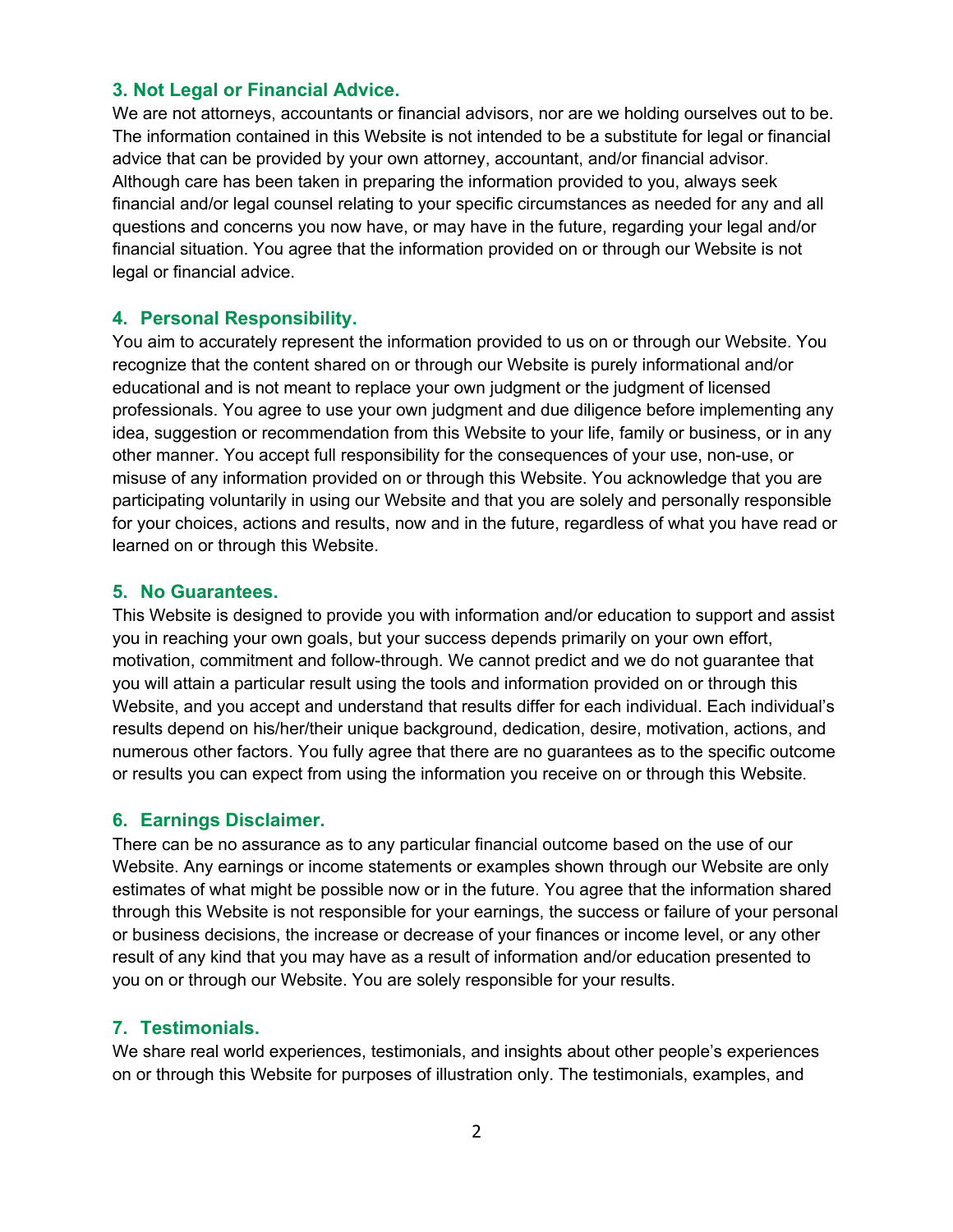### **3. Not Legal or Financial Advice.**

We are not attorneys, accountants or financial advisors, nor are we holding ourselves out to be. The information contained in this Website is not intended to be a substitute for legal or financial advice that can be provided by your own attorney, accountant, and/or financial advisor. Although care has been taken in preparing the information provided to you, always seek financial and/or legal counsel relating to your specific circumstances as needed for any and all questions and concerns you now have, or may have in the future, regarding your legal and/or financial situation. You agree that the information provided on or through our Website is not legal or financial advice.

### **4. Personal Responsibility.**

You aim to accurately represent the information provided to us on or through our Website. You recognize that the content shared on or through our Website is purely informational and/or educational and is not meant to replace your own judgment or the judgment of licensed professionals. You agree to use your own judgment and due diligence before implementing any idea, suggestion or recommendation from this Website to your life, family or business, or in any other manner. You accept full responsibility for the consequences of your use, non-use, or misuse of any information provided on or through this Website. You acknowledge that you are participating voluntarily in using our Website and that you are solely and personally responsible for your choices, actions and results, now and in the future, regardless of what you have read or learned on or through this Website.

#### **5. No Guarantees.**

This Website is designed to provide you with information and/or education to support and assist you in reaching your own goals, but your success depends primarily on your own effort, motivation, commitment and follow-through. We cannot predict and we do not guarantee that you will attain a particular result using the tools and information provided on or through this Website, and you accept and understand that results differ for each individual. Each individual's results depend on his/her/their unique background, dedication, desire, motivation, actions, and numerous other factors. You fully agree that there are no guarantees as to the specific outcome or results you can expect from using the information you receive on or through this Website.

#### **6. Earnings Disclaimer.**

There can be no assurance as to any particular financial outcome based on the use of our Website. Any earnings or income statements or examples shown through our Website are only estimates of what might be possible now or in the future. You agree that the information shared through this Website is not responsible for your earnings, the success or failure of your personal or business decisions, the increase or decrease of your finances or income level, or any other result of any kind that you may have as a result of information and/or education presented to you on or through our Website. You are solely responsible for your results.

#### **7. Testimonials.**

We share real world experiences, testimonials, and insights about other people's experiences on or through this Website for purposes of illustration only. The testimonials, examples, and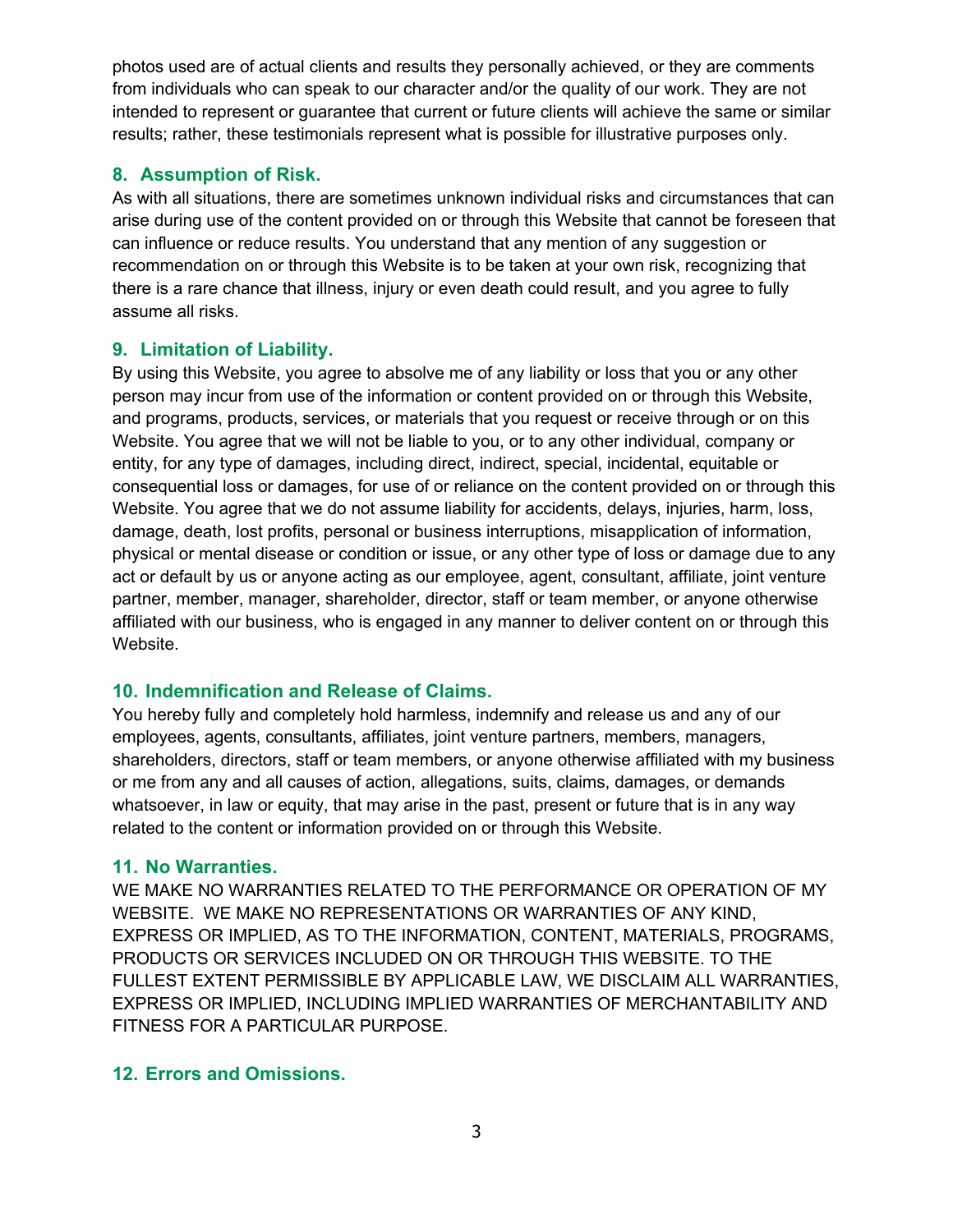photos used are of actual clients and results they personally achieved, or they are comments from individuals who can speak to our character and/or the quality of our work. They are not intended to represent or guarantee that current or future clients will achieve the same or similar results; rather, these testimonials represent what is possible for illustrative purposes only.

# **8. Assumption of Risk.**

As with all situations, there are sometimes unknown individual risks and circumstances that can arise during use of the content provided on or through this Website that cannot be foreseen that can influence or reduce results. You understand that any mention of any suggestion or recommendation on or through this Website is to be taken at your own risk, recognizing that there is a rare chance that illness, injury or even death could result, and you agree to fully assume all risks.

# **9. Limitation of Liability.**

By using this Website, you agree to absolve me of any liability or loss that you or any other person may incur from use of the information or content provided on or through this Website, and programs, products, services, or materials that you request or receive through or on this Website. You agree that we will not be liable to you, or to any other individual, company or entity, for any type of damages, including direct, indirect, special, incidental, equitable or consequential loss or damages, for use of or reliance on the content provided on or through this Website. You agree that we do not assume liability for accidents, delays, injuries, harm, loss, damage, death, lost profits, personal or business interruptions, misapplication of information, physical or mental disease or condition or issue, or any other type of loss or damage due to any act or default by us or anyone acting as our employee, agent, consultant, affiliate, joint venture partner, member, manager, shareholder, director, staff or team member, or anyone otherwise affiliated with our business, who is engaged in any manner to deliver content on or through this Website.

# **10. Indemnification and Release of Claims.**

You hereby fully and completely hold harmless, indemnify and release us and any of our employees, agents, consultants, affiliates, joint venture partners, members, managers, shareholders, directors, staff or team members, or anyone otherwise affiliated with my business or me from any and all causes of action, allegations, suits, claims, damages, or demands whatsoever, in law or equity, that may arise in the past, present or future that is in any way related to the content or information provided on or through this Website.

# **11. No Warranties.**

WE MAKE NO WARRANTIES RELATED TO THE PERFORMANCE OR OPERATION OF MY WEBSITE. WE MAKE NO REPRESENTATIONS OR WARRANTIES OF ANY KIND, EXPRESS OR IMPLIED, AS TO THE INFORMATION, CONTENT, MATERIALS, PROGRAMS, PRODUCTS OR SERVICES INCLUDED ON OR THROUGH THIS WEBSITE. TO THE FULLEST EXTENT PERMISSIBLE BY APPLICABLE LAW, WE DISCLAIM ALL WARRANTIES, EXPRESS OR IMPLIED, INCLUDING IMPLIED WARRANTIES OF MERCHANTABILITY AND FITNESS FOR A PARTICULAR PURPOSE.

# **12. Errors and Omissions.**